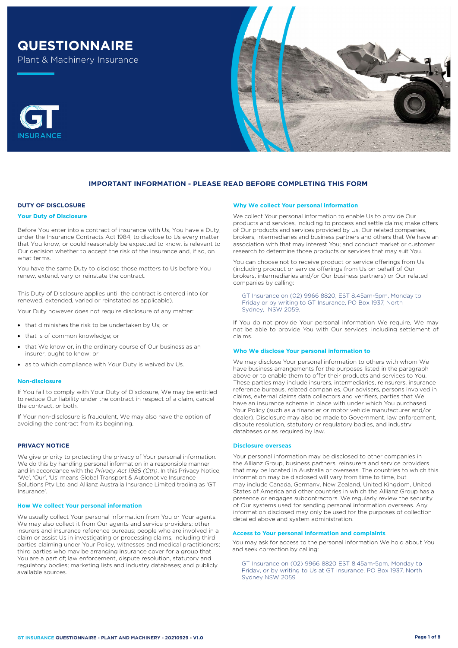# **QUESTIONNAIRE**

Plant & Machinery Insurance





## **DUTY OF DISCLOSURE**

#### **Your Duty of Disclosure**

Before You enter into a contract of insurance with Us, You have a Duty, under the Insurance Contracts Act 1984, to disclose to Us every matter that You know, or could reasonably be expected to know, is relevant to Our decision whether to accept the risk of the insurance and, if so, on what terms.

You have the same Duty to disclose those matters to Us before You renew, extend, vary or reinstate the contract.

This Duty of Disclosure applies until the contract is entered into (or renewed, extended, varied or reinstated as applicable).

Your Duty however does not require disclosure of any matter:

- that diminishes the risk to be undertaken by Us; or
- that is of common knowledge; or
- that We know or, in the ordinary course of Our business as an insurer, ought to know; or
- as to which compliance with Your Duty is waived by Us.

#### **Non-disclosure**

If You fail to comply with Your Duty of Disclosure, We may be entitled to reduce Our liability under the contract in respect of a claim, cancel the contract, or both.

If Your non-disclosure is fraudulent, We may also have the option of avoiding the contract from its beginning.

## **PRIVACY NOTICE**

We give priority to protecting the privacy of Your personal information. We do this by handling personal information in a responsible manner and in accordance with the *Privacy Act 1988 (Cth)*. In this Privacy Notice, 'We', 'Our', 'Us' means Global Transport & Automotive Insurance Solutions Pty Ltd and Allianz Australia Insurance Limited trading as 'GT Insurance'.

#### **How We collect Your personal information**

We usually collect Your personal information from You or Your agents. We may also collect it from Our agents and service providers; other insurers and insurance reference bureaus; people who are involved in a claim or assist Us in investigating or processing claims, including third parties claiming under Your Policy, witnesses and medical practitioners; third parties who may be arranging insurance cover for a group that You are a part of; law enforcement, dispute resolution, statutory and regulatory bodies; marketing lists and industry databases; and publicly available sources.

#### **Why We collect Your personal information**

We collect Your personal information to enable Us to provide Our products and services, including to process and settle claims; make offers of Our products and services provided by Us, Our related companies, brokers, intermediaries and business partners and others that We have an association with that may interest You; and conduct market or customer research to determine those products or services that may suit You.

You can choose not to receive product or service offerings from Us (including product or service offerings from Us on behalf of Our brokers, intermediaries and/or Our business partners) or Our related companies by calling:

GT Insurance on (02) 9966 8820, EST 8.45am-5pm, Monday to Friday or by writing to GT Insurance, PO Box 1937, North Sydney, NSW 2059.

If You do not provide Your personal information We require, We may not be able to provide You with Our services, including settlement of claims.

#### **Who We disclose Your personal information to**

We may disclose Your personal information to others with whom We have business arrangements for the purposes listed in the paragraph above or to enable them to offer their products and services to You. These parties may include insurers, intermediaries, reinsurers, insurance reference bureaus, related companies, Our advisers, persons involved in claims, external claims data collectors and verifiers, parties that We have an insurance scheme in place with under which You purchased Your Policy (such as a financier or motor vehicle manufacturer and/or dealer). Disclosure may also be made to Government, law enforcement, dispute resolution, statutory or regulatory bodies, and industry databases or as required by law.

#### **Disclosure overseas**

Your personal information may be disclosed to other companies in the Allianz Group, business partners, reinsurers and service providers that may be located in Australia or overseas. The countries to which this information may be disclosed will vary from time to time, but may include Canada, Germany, New Zealand, United Kingdom, United States of America and other countries in which the Allianz Group has a presence or engages subcontractors. We regularly review the security of Our systems used for sending personal information overseas. Any information disclosed may only be used for the purposes of collection detailed above and system administration.

## **Access to Your personal information and complaints**

You may ask for access to the personal information We hold about You and seek correction by calling:

GT Insurance on (02) 9966 8820 EST 8.45am-5pm, Monday to Friday, or by writing to Us at GT Insurance, PO Box 1937, North Sydney NSW 2059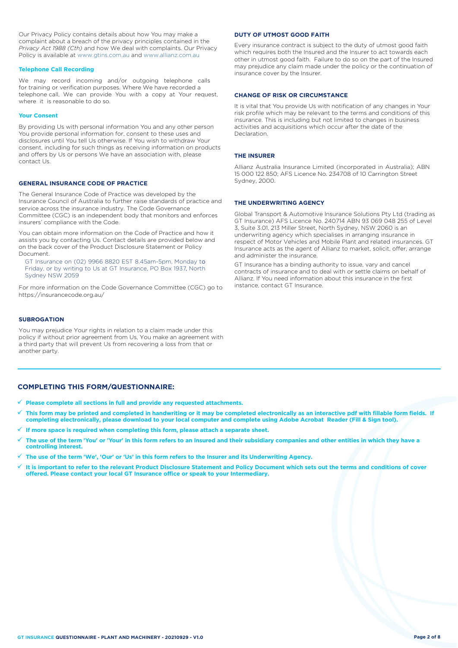Our Privacy Policy contains details about how You may make a complaint about a breach of the privacy principles contained in the *Privacy Act 1988 (Cth)* and how We deal with complaints. Our Privacy Policy is available at [www.gtins.com.au](https://www.gtins.com.au/documents-and-policies/) and [www.allianz.com.au](https://www.allianz.com.au/about-us/privacy/)

#### **Telephone Call Recording**

We may record incoming and/or outgoing telephone calls for training or verification purposes. Where We have recorded a telephone call, We can provide You with a copy at Your request, where it is reasonable to do so.

#### **Your Consent**

By providing Us with personal information You and any other person You provide personal information for, consent to these uses and disclosures until You tell Us otherwise. If You wish to withdraw Your consent, including for such things as receiving information on products and offers by Us or persons We have an association with, please contact Us.

## **GENERAL INSURANCE CODE OF PRACTICE**

The General Insurance Code of Practice was developed by the Insurance Council of Australia to further raise standards of practice and service across the insurance industry. The Code Governance Committee (CGC) is an independent body that monitors and enforces insurers' compliance with the Code.

You can obtain more information on the Code of Practice and how it assists you by contacting Us. Contact details are provided below and on the back cover of the Product Disclosure Statement or Policy Document.

, Friday, or by writing to Us at GT Insurance, PO Box 1937, North GT Insurance on (02) 9966 8820 EST 8.45am-5pm, Monday to Sydney NSW 2059

For more information on the Code Governance Committee (CGC) go to <https://insurancecode.org.au/>

## **SUBROGATION**

You may prejudice Your rights in relation to a claim made under this policy if without prior agreement from Us, You make an agreement with a third party that will prevent Us from recovering a loss from that or another party.

## **COMPLETING THIS FORM/QUESTIONNAIRE:**

- **Please complete all sections in full and provide any requested attachments.**
- **This form may be printed and completed in handwriting or it may be completed electronically as an interactive pdf with fillable form fields. If completing electronically, please download to your local computer and complete using Adobe Acrobat Reader (Fill & Sign tool).**
- **If more space is required when completing this form, please attach a separate sheet.**
- **The use of the term 'You' or 'Your' in this form refers to an Insured and their subsidiary companies and other entities in which they have a controlling interest.**
- **The use of the term 'We', 'Our' or 'Us' in this form refers to the Insurer and its Underwriting Agency.**
- **It is important to refer to the relevant Product Disclosure Statement and Policy Document which sets out the terms and conditions of cover offered. Please contact your local GT Insurance office or speak to your Intermediary.**

#### **DUTY OF UTMOST GOOD FAITH**

Every insurance contract is subject to the duty of utmost good faith which requires both the Insured and the Insurer to act towards each other in utmost good faith. Failure to do so on the part of the Insured may prejudice any claim made under the policy or the continuation of insurance cover by the Insurer.

#### **CHANGE OF RISK OR CIRCUMSTANCE**

It is vital that You provide Us with notification of any changes in Your risk profile which may be relevant to the terms and conditions of this insurance. This is including but not limited to changes in business activities and acquisitions which occur after the date of the Declaration.

#### **THE INSURER**

Allianz Australia Insurance Limited (incorporated in Australia); ABN 15 000 122 850; AFS Licence No. 234708 of 10 Carrington Street Sydney, 2000.

#### **THE UNDERWRITING AGENCY**

Global Transport & Automotive Insurance Solutions Pty Ltd (trading as GT Insurance) AFS Licence No. 240714 ABN 93 069 048 255 of Level 3, Suite 3.01, 213 Miller Street, North Sydney, NSW 2060 is an underwriting agency which specialises in arranging insurance in respect of Motor Vehicles and Mobile Plant and related insurances. GT Insurance acts as the agent of Allianz to market, solicit, offer, arrange and administer the insurance.

GT Insurance has a binding authority to issue, vary and cancel contracts of insurance and to deal with or settle claims on behalf of Allianz. If You need information about this insurance in the first instance, contact GT Insurance.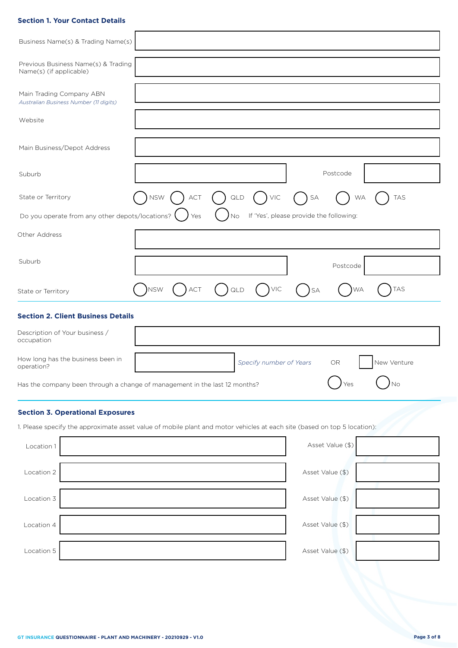## **Section 1. Your Contact Details**

| Business Name(s) & Trading Name(s)        |     |                                                                                                                          |                         |           |           |                                                                  |
|-------------------------------------------|-----|--------------------------------------------------------------------------------------------------------------------------|-------------------------|-----------|-----------|------------------------------------------------------------------|
| Previous Business Name(s) & Trading       |     |                                                                                                                          |                         |           |           |                                                                  |
|                                           |     |                                                                                                                          |                         |           |           |                                                                  |
|                                           |     |                                                                                                                          |                         |           |           |                                                                  |
|                                           |     |                                                                                                                          |                         |           |           |                                                                  |
|                                           |     |                                                                                                                          |                         |           |           |                                                                  |
| <b>NSW</b>                                | ACT | $\mathsf{QLD}$                                                                                                           | $)$ VIC                 | SA        |           | <b>TAS</b>                                                       |
|                                           | Yes | No                                                                                                                       |                         |           |           |                                                                  |
|                                           |     |                                                                                                                          |                         |           |           |                                                                  |
|                                           |     |                                                                                                                          |                         |           | Postcode  |                                                                  |
| <b>NSW</b>                                | ACT | QLD                                                                                                                      | VIC                     | <b>SA</b> | <b>WA</b> | <b>TAS</b>                                                       |
|                                           |     |                                                                                                                          |                         |           |           |                                                                  |
| <b>Section 2. Client Business Details</b> |     |                                                                                                                          |                         |           |           |                                                                  |
|                                           |     |                                                                                                                          |                         |           |           |                                                                  |
|                                           |     |                                                                                                                          | Specify number of Years |           | OR        | New Venture                                                      |
|                                           |     | Has the company been through a change of management in the last 12 months?                                               |                         |           |           |                                                                  |
| <b>Section 3. Operational Exposures</b>   |     |                                                                                                                          |                         |           |           |                                                                  |
|                                           |     | 1. Please specify the approximate asset value of mobile plant and motor vehicles at each site (based on top 5 location): |                         |           |           |                                                                  |
|                                           |     | Do you operate from any other depots/locations?                                                                          |                         |           |           | Postcode<br><b>WA</b><br>If 'Yes', please provide the following: |

| Location 2 | Asset Value (\$) |  |
|------------|------------------|--|
|            |                  |  |
| Location 3 | Asset Value (\$) |  |
|            |                  |  |
| Location 4 | Asset Value (\$) |  |
|            |                  |  |
| Location 5 | Asset Value (\$) |  |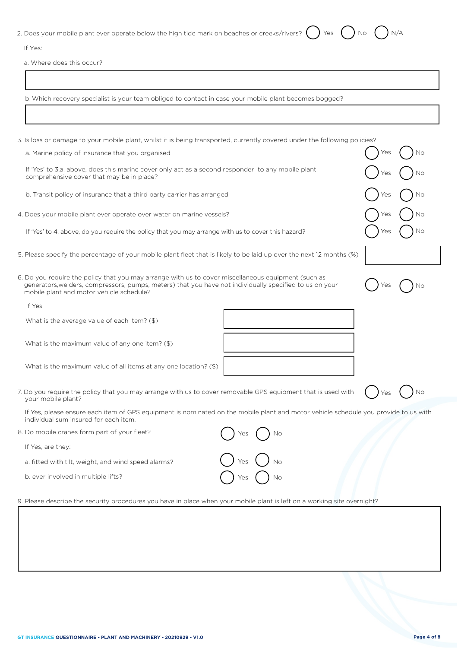| 2. Does your mobile plant ever operate below the high tide mark on beaches or creeks/rivers? $\bigcirc$ Yes $\bigcirc$ No $\bigcirc$ N/A |  |  |  |
|------------------------------------------------------------------------------------------------------------------------------------------|--|--|--|

| $\sim$<br>۰.<br>M. |
|--------------------|
|                    |

a. Where does this occur?

b. Which recovery specialist is your team obliged to contact in case your mobile plant becomes bogged?

| 3. Is loss or damage to your mobile plant, whilst it is being transported, currently covered under the following policies?                                                                                                                                 |           |
|------------------------------------------------------------------------------------------------------------------------------------------------------------------------------------------------------------------------------------------------------------|-----------|
| a. Marine policy of insurance that you organised                                                                                                                                                                                                           |           |
| If 'Yes' to 3.a. above, does this marine cover only act as a second responder to any mobile plant<br>comprehensive cover that may be in place?                                                                                                             |           |
| b. Transit policy of insurance that a third party carrier has arranged                                                                                                                                                                                     |           |
| 4. Does your mobile plant ever operate over water on marine vessels?                                                                                                                                                                                       | 'es<br>Νo |
| If 'Yes' to 4. above, do you require the policy that you may arrange with us to cover this hazard?                                                                                                                                                         | ΈS.       |
| 5. Please specify the percentage of your mobile plant fleet that is likely to be laid up over the next 12 months (%)                                                                                                                                       |           |
| 6. Do you require the policy that you may arrange with us to cover miscellaneous equipment (such as<br>generators, welders, compressors, pumps, meters) that you have not individually specified to us on your<br>mobile plant and motor vehicle schedule? |           |
| If Yes:                                                                                                                                                                                                                                                    |           |
| What is the average value of each item? (\$)                                                                                                                                                                                                               |           |
| What is the maximum value of any one item? (\$)                                                                                                                                                                                                            |           |
| What is the maximum value of all items at any one location? (\$)                                                                                                                                                                                           |           |
| 7. Do you require the policy that you may arrange with us to cover removable GPS equipment that is used with<br>your mobile plant?                                                                                                                         |           |
| If Yes, please ensure each item of GPS equipment is nominated on the mobile plant and motor vehicle schedule you provide to us with<br>individual sum insured for each item.                                                                               |           |
| 8. Do mobile cranes form part of your fleet?<br>Νo                                                                                                                                                                                                         |           |
| If Yes, are they:                                                                                                                                                                                                                                          |           |
| a. fitted with tilt, weight, and wind speed alarms?<br>Νo                                                                                                                                                                                                  |           |
| b. ever involved in multiple lifts?<br>Νo                                                                                                                                                                                                                  |           |
|                                                                                                                                                                                                                                                            |           |

9. Please describe the security procedures you have in place when your mobile plant is left on a working site overnight?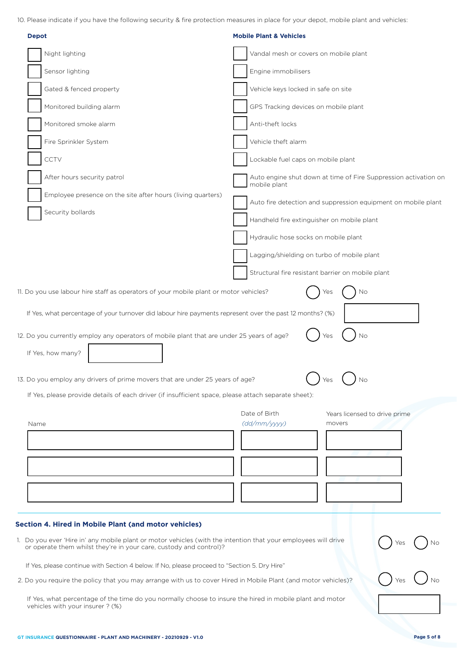10. Please indicate if you have the following security & fire protection measures in place for your depot, mobile plant and vehicles:

| <b>Depot</b>                                                                                                                                                                                                                                                                                                                                                                                                        | <b>Mobile Plant &amp; Vehicles</b>                                              |
|---------------------------------------------------------------------------------------------------------------------------------------------------------------------------------------------------------------------------------------------------------------------------------------------------------------------------------------------------------------------------------------------------------------------|---------------------------------------------------------------------------------|
| Night lighting                                                                                                                                                                                                                                                                                                                                                                                                      | Vandal mesh or covers on mobile plant                                           |
| Sensor lighting                                                                                                                                                                                                                                                                                                                                                                                                     | Engine immobilisers                                                             |
| Gated & fenced property                                                                                                                                                                                                                                                                                                                                                                                             | Vehicle keys locked in safe on site                                             |
| Monitored building alarm                                                                                                                                                                                                                                                                                                                                                                                            | GPS Tracking devices on mobile plant                                            |
| Monitored smoke alarm                                                                                                                                                                                                                                                                                                                                                                                               | Anti-theft locks                                                                |
| Fire Sprinkler System                                                                                                                                                                                                                                                                                                                                                                                               | Vehicle theft alarm                                                             |
| CCTV                                                                                                                                                                                                                                                                                                                                                                                                                | Lockable fuel caps on mobile plant                                              |
| After hours security patrol                                                                                                                                                                                                                                                                                                                                                                                         | Auto engine shut down at time of Fire Suppression activation on<br>mobile plant |
| Employee presence on the site after hours (living quarters)                                                                                                                                                                                                                                                                                                                                                         | Auto fire detection and suppression equipment on mobile plant                   |
| Security bollards                                                                                                                                                                                                                                                                                                                                                                                                   | Handheld fire extinguisher on mobile plant                                      |
|                                                                                                                                                                                                                                                                                                                                                                                                                     | Hydraulic hose socks on mobile plant                                            |
|                                                                                                                                                                                                                                                                                                                                                                                                                     | Lagging/shielding on turbo of mobile plant                                      |
|                                                                                                                                                                                                                                                                                                                                                                                                                     | Structural fire resistant barrier on mobile plant                               |
| 11. Do you use labour hire staff as operators of your mobile plant or motor vehicles?                                                                                                                                                                                                                                                                                                                               | Yes<br>No                                                                       |
| If Yes, what percentage of your turnover did labour hire payments represent over the past 12 months? (%)<br>12. Do you currently employ any operators of mobile plant that are under 25 years of age?<br>If Yes, how many?<br>13. Do you employ any drivers of prime movers that are under 25 years of age?<br>If Yes, please provide details of each driver (if insufficient space, please attach separate sheet): | No<br>Yes<br>Νo                                                                 |
|                                                                                                                                                                                                                                                                                                                                                                                                                     | Date of Birth<br>Years licensed to drive prime                                  |
| Name                                                                                                                                                                                                                                                                                                                                                                                                                | (dd/mm/yyyy)<br>movers                                                          |
|                                                                                                                                                                                                                                                                                                                                                                                                                     |                                                                                 |
|                                                                                                                                                                                                                                                                                                                                                                                                                     |                                                                                 |
|                                                                                                                                                                                                                                                                                                                                                                                                                     |                                                                                 |
|                                                                                                                                                                                                                                                                                                                                                                                                                     |                                                                                 |
| <b>Section 4. Hired in Mobile Plant (and motor vehicles)</b>                                                                                                                                                                                                                                                                                                                                                        |                                                                                 |
| 1. Do you ever 'Hire in' any mobile plant or motor vehicles (with the intention that your employees will drive<br>or operate them whilst they're in your care, custody and control)?                                                                                                                                                                                                                                |                                                                                 |
| If Yes, please continue with Section 4 below. If No, please proceed to "Section 5. Dry Hire"                                                                                                                                                                                                                                                                                                                        |                                                                                 |
| 2. Do you require the policy that you may arrange with us to cover Hired in Mobile Plant (and motor vehicles)?                                                                                                                                                                                                                                                                                                      |                                                                                 |
| If Yes, what percentage of the time do you normally choose to insure the hired in mobile plant and motor<br>vehicles with your insurer ? (%)                                                                                                                                                                                                                                                                        |                                                                                 |
| GT INSURANCE QUESTIONNAIRE - PLANT AND MACHINERY - 20210929 - V1.0                                                                                                                                                                                                                                                                                                                                                  | Page 5 of 8                                                                     |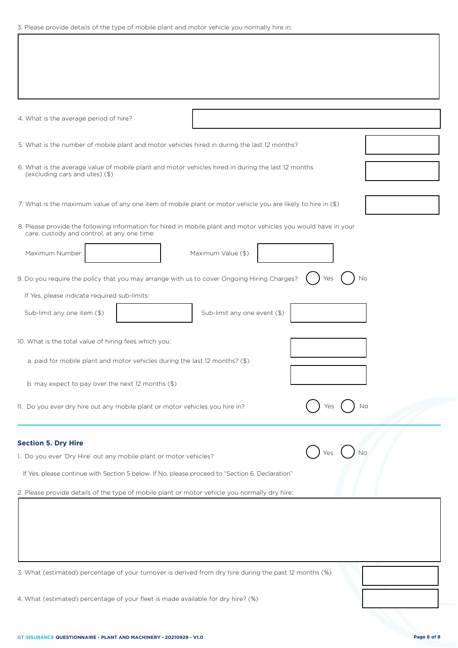|  |  |  |  |  |  |  |  |  | 3. Please provide details of the type of mobile plant and motor vehicle you normally hire in: |  |  |  |
|--|--|--|--|--|--|--|--|--|-----------------------------------------------------------------------------------------------|--|--|--|
|--|--|--|--|--|--|--|--|--|-----------------------------------------------------------------------------------------------|--|--|--|

| 4. What is the average period of hire?                                                                                                                               |                              |           |  |
|----------------------------------------------------------------------------------------------------------------------------------------------------------------------|------------------------------|-----------|--|
| 5. What is the number of mobile plant and motor vehicles hired in during the last 12 months?                                                                         |                              |           |  |
| 6. What is the average value of mobile plant and motor vehicles hired in during the last 12 months<br>(excluding cars and utes) (\$)                                 |                              |           |  |
| 7. What is the maximum value of any one item of mobile plant or motor vehicle you are likely to hire in (\$)                                                         |                              |           |  |
| 8. Please provide the following information for hired in mobile plant and motor vehicles you would have in your<br>care, custody and control, at any one time:       |                              |           |  |
| Maximum Number                                                                                                                                                       | Maximum Value (\$)           |           |  |
| 9. Do you require the policy that you may arrange with us to cover Ongoing Hiring Charges?                                                                           |                              | Yes<br>Νo |  |
| If Yes, please indicate required sub-limits:<br>Sub-limit any one item (\$)                                                                                          | Sub-limit any one event (\$) |           |  |
| 10. What is the total value of hiring fees which you:                                                                                                                |                              |           |  |
| a. paid for mobile plant and motor vehicles during the last 12 months? (\$)                                                                                          |                              |           |  |
| b. may expect to pay over the next 12 months (\$)                                                                                                                    |                              |           |  |
| 11. Do you ever dry hire out any mobile plant or motor vehicles you hire in?                                                                                         |                              | Νo        |  |
| <b>Section 5. Dry Hire</b>                                                                                                                                           |                              |           |  |
| 1. Do you ever 'Dry Hire' out any mobile plant or motor vehicles?<br>If Yes, please continue with Section 5 below. If No, please proceed to "Section 6. Declaration" |                              |           |  |
| 2. Please provide details of the type of mobile plant or motor vehicle you normally dry hire:                                                                        |                              |           |  |
|                                                                                                                                                                      |                              |           |  |
|                                                                                                                                                                      |                              |           |  |
|                                                                                                                                                                      |                              |           |  |
| 3. What (estimated) percentage of your turnover is derived from dry hire during the past 12 months (%)                                                               |                              |           |  |

4. What (estimated) percentage of your fleet is made available for dry hire? (%)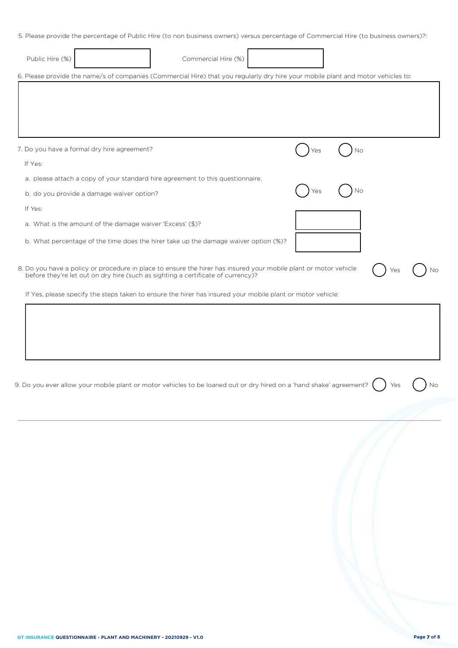5. Please provide the percentage of Public Hire (to non business owners) versus percentage of Commercial Hire (to business owners)?:

| Public Hire (%)                                                                                                                  | Commercial Hire (%)                                                                                        |     |    |  |
|----------------------------------------------------------------------------------------------------------------------------------|------------------------------------------------------------------------------------------------------------|-----|----|--|
| 6. Please provide the name/s of companies (Commercial Hire) that you regularly dry hire your mobile plant and motor vehicles to: |                                                                                                            |     |    |  |
|                                                                                                                                  |                                                                                                            |     |    |  |
|                                                                                                                                  |                                                                                                            |     |    |  |
| 7. Do you have a formal dry hire agreement?                                                                                      |                                                                                                            |     | No |  |
| If Yes:                                                                                                                          |                                                                                                            |     |    |  |
|                                                                                                                                  | a. please attach a copy of your standard hire agreement to this questionnaire.                             |     |    |  |
| b. do you provide a damage waiver option?                                                                                        |                                                                                                            | Yes | No |  |
| If Yes:                                                                                                                          |                                                                                                            |     |    |  |
| a. What is the amount of the damage waiver 'Excess' (\$)?                                                                        |                                                                                                            |     |    |  |
|                                                                                                                                  | b. What percentage of the time does the hirer take up the damage waiver option (%)?                        |     |    |  |
| 8. Do you have a policy or procedure in place to ensure the hirer has insured your mobile plant or motor vehicle                 | before they're let out on dry hire (such as sighting a certificate of currency)?                           |     |    |  |
|                                                                                                                                  | If Yes, please specify the steps taken to ensure the hirer has insured your mobile plant or motor vehicle: |     |    |  |
|                                                                                                                                  |                                                                                                            |     |    |  |
|                                                                                                                                  |                                                                                                            |     |    |  |
|                                                                                                                                  |                                                                                                            |     |    |  |

| 9. Do you ever allow your mobile plant or motor vehicles to be loaned out or dry hired on a 'hand shake' agreement? $(\phantom{a})$ Yes $\phantom{a}(\phantom{a})$ Nc |  |  |  |
|-----------------------------------------------------------------------------------------------------------------------------------------------------------------------|--|--|--|
|-----------------------------------------------------------------------------------------------------------------------------------------------------------------------|--|--|--|